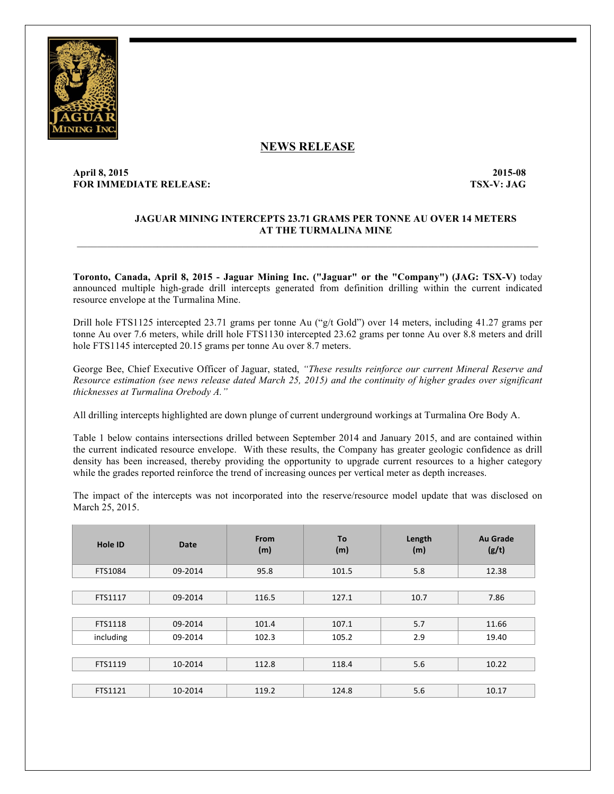

# **NEWS RELEASE**

# **April 8, 2015 2015-08 FOR IMMEDIATE RELEASE: TSX-V: JAG**

## **JAGUAR MINING INTERCEPTS 23.71 GRAMS PER TONNE AU OVER 14 METERS AT THE TURMALINA MINE**

**Toronto, Canada, April 8, 2015 - Jaguar Mining Inc. ("Jaguar" or the "Company") (JAG: TSX-V)** today announced multiple high-grade drill intercepts generated from definition drilling within the current indicated resource envelope at the Turmalina Mine.

 $\mathcal{L}_\mathcal{L} = \mathcal{L}_\mathcal{L}$ 

Drill hole FTS1125 intercepted 23.71 grams per tonne Au ("g/t Gold") over 14 meters, including 41.27 grams per tonne Au over 7.6 meters, while drill hole FTS1130 intercepted 23.62 grams per tonne Au over 8.8 meters and drill hole FTS1145 intercepted 20.15 grams per tonne Au over 8.7 meters.

George Bee, Chief Executive Officer of Jaguar, stated, *"These results reinforce our current Mineral Reserve and Resource estimation (see news release dated March 25, 2015) and the continuity of higher grades over significant thicknesses at Turmalina Orebody A."*

All drilling intercepts highlighted are down plunge of current underground workings at Turmalina Ore Body A.

Table 1 below contains intersections drilled between September 2014 and January 2015, and are contained within the current indicated resource envelope. With these results, the Company has greater geologic confidence as drill density has been increased, thereby providing the opportunity to upgrade current resources to a higher category while the grades reported reinforce the trend of increasing ounces per vertical meter as depth increases.

The impact of the intercepts was not incorporated into the reserve/resource model update that was disclosed on March 25, 2015.

| <b>Hole ID</b> | <b>Date</b> | <b>From</b><br>(m) | <b>To</b><br>(m) | Length<br>(m) | <b>Au Grade</b><br>(g/t) |
|----------------|-------------|--------------------|------------------|---------------|--------------------------|
| FTS1084        | 09-2014     | 95.8               | 101.5            | 5.8           | 12.38                    |
|                |             |                    |                  |               |                          |
| FTS1117        | 09-2014     | 116.5              | 127.1            | 10.7          | 7.86                     |
|                |             |                    |                  |               |                          |
| FTS1118        | 09-2014     | 101.4              | 107.1            | 5.7           | 11.66                    |
| including      | 09-2014     | 102.3              | 105.2            | 2.9           | 19.40                    |
|                |             |                    |                  |               |                          |
| FTS1119        | 10-2014     | 112.8              | 118.4            | 5.6           | 10.22                    |
|                |             |                    |                  |               |                          |
| FTS1121        | 10-2014     | 119.2              | 124.8            | 5.6           | 10.17                    |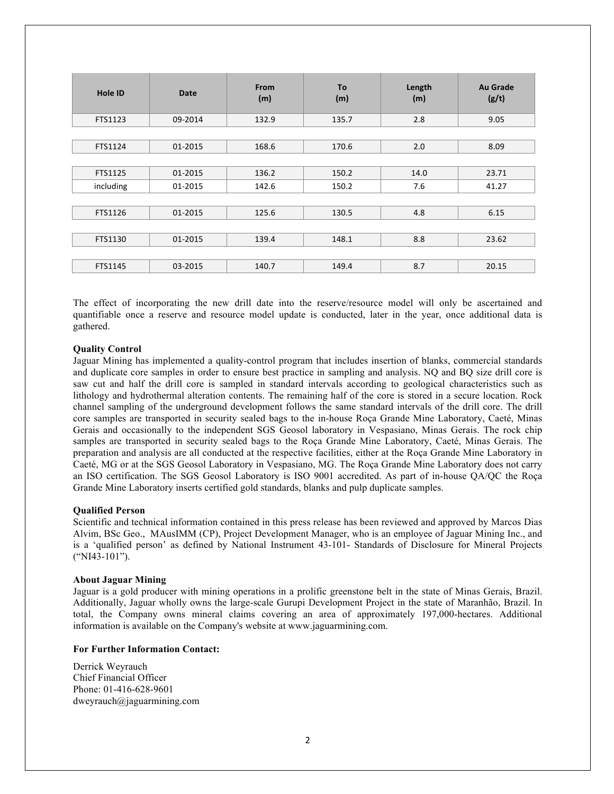| <b>Hole ID</b> | <b>Date</b> | From<br>(m) | To<br>(m) | Length<br>(m) | Au Grade<br>(g/t) |
|----------------|-------------|-------------|-----------|---------------|-------------------|
| FTS1123        | 09-2014     | 132.9       | 135.7     | 2.8           | 9.05              |
|                |             |             |           |               |                   |
| FTS1124        | 01-2015     | 168.6       | 170.6     | 2.0           | 8.09              |
|                |             |             |           |               |                   |
| FTS1125        | 01-2015     | 136.2       | 150.2     | 14.0          | 23.71             |
| including      | 01-2015     | 142.6       | 150.2     | 7.6           | 41.27             |
|                |             |             |           |               |                   |
| FTS1126        | 01-2015     | 125.6       | 130.5     | 4.8           | 6.15              |
|                |             |             |           |               |                   |
| FTS1130        | 01-2015     | 139.4       | 148.1     | 8.8           | 23.62             |
|                |             |             |           |               |                   |
| FTS1145        | 03-2015     | 140.7       | 149.4     | 8.7           | 20.15             |

The effect of incorporating the new drill date into the reserve/resource model will only be ascertained and quantifiable once a reserve and resource model update is conducted, later in the year, once additional data is gathered.

### **Quality Control**

Jaguar Mining has implemented a quality-control program that includes insertion of blanks, commercial standards and duplicate core samples in order to ensure best practice in sampling and analysis. NQ and BQ size drill core is saw cut and half the drill core is sampled in standard intervals according to geological characteristics such as lithology and hydrothermal alteration contents. The remaining half of the core is stored in a secure location. Rock channel sampling of the underground development follows the same standard intervals of the drill core. The drill core samples are transported in security sealed bags to the in-house Roça Grande Mine Laboratory, Caeté, Minas Gerais and occasionally to the independent SGS Geosol laboratory in Vespasiano, Minas Gerais. The rock chip samples are transported in security sealed bags to the Roça Grande Mine Laboratory, Caeté, Minas Gerais. The preparation and analysis are all conducted at the respective facilities, either at the Roça Grande Mine Laboratory in Caeté, MG or at the SGS Geosol Laboratory in Vespasiano, MG. The Roça Grande Mine Laboratory does not carry an ISO certification. The SGS Geosol Laboratory is ISO 9001 accredited. As part of in-house QA/QC the Roça Grande Mine Laboratory inserts certified gold standards, blanks and pulp duplicate samples.

#### **Qualified Person**

Scientific and technical information contained in this press release has been reviewed and approved by Marcos Dias Alvim, BSc Geo., MAusIMM (CP), Project Development Manager, who is an employee of Jaguar Mining Inc., and is a 'qualified person' as defined by National Instrument 43-101- Standards of Disclosure for Mineral Projects ("NI43-101").

#### **About Jaguar Mining**

Jaguar is a gold producer with mining operations in a prolific greenstone belt in the state of Minas Gerais, Brazil. Additionally, Jaguar wholly owns the large-scale Gurupi Development Project in the state of Maranhão, Brazil. In total, the Company owns mineral claims covering an area of approximately 197,000-hectares. Additional information is available on the Company's website at www.jaguarmining.com.

#### **For Further Information Contact:**

Derrick Weyrauch Chief Financial Officer Phone: 01-416-628-9601 dweyrauch@jaguarmining.com